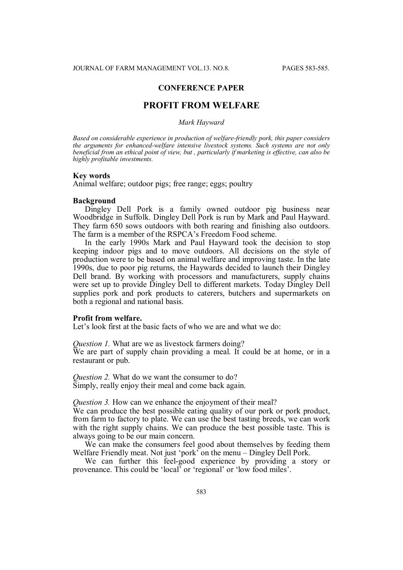# **CONFERENCE PAPER**

# **PROFIT FROM WELFARE**

#### *Mark Hayward*

*Based on considerable experience in production of welfare-friendly pork, this paper considers the arguments for enhanced-welfare intensive livestock systems. Such systems are not only beneficial from an ethical point of view, but , particularly if marketing is effective, can also be highly profitable investments.*

## **Key words**

Animal welfare; outdoor pigs; free range; eggs; poultry

### **Background**

Dingley Dell Pork is a family owned outdoor pig business near Woodbridge in Suffolk. Dingley Dell Pork is run by Mark and Paul Hayward. They farm 650 sows outdoors with both rearing and finishing also outdoors. The farm is a member of the RSPCA's Freedom Food scheme.

In the early 1990s Mark and Paul Hayward took the decision to stop keeping indoor pigs and to move outdoors. All decisions on the style of production were to be based on animal welfare and improving taste. In the late 1990s, due to poor pig returns, the Haywards decided to launch their Dingley Dell brand. By working with processors and manufacturers, supply chains were set up to provide Dingley Dell to different markets. Today Dingley Dell supplies pork and pork products to caterers, butchers and supermarkets on both a regional and national basis.

### **Profit from welfare.**

Let's look first at the basic facts of who we are and what we do:

*Ouestion 1. What are we as livestock farmers doing?* We are part of supply chain providing a meal. It could be at home, or in a restaurant or pub.

*Question 2.* What do we want the consumer to do? Simply, really enjoy their meal and come back again.

*Question 3.* How can we enhance the enjoyment of their meal?

We can produce the best possible eating quality of our pork or pork product, from farm to factory to plate. We can use the best tasting breeds, we can work with the right supply chains. We can produce the best possible taste. This is always going to be our main concern.

We can make the consumers feel good about themselves by feeding them Welfare Friendly meat. Not just 'pork' on the menu – Dingley Dell Pork.

We can further this feel-good experience by providing a story or provenance. This could be 'local' or 'regional' or 'low food miles'.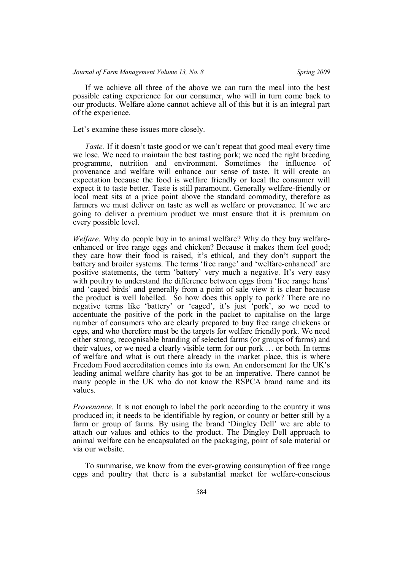If we achieve all three of the above we can turn the meal into the best possible eating experience for our consumer, who will in turn come back to our products. Welfare alone cannot achieve all of this but it is an integral part of the experience.

Let's examine these issues more closely.

*Taste.* If it doesn't taste good or we can't repeat that good meal every time we lose. We need to maintain the best tasting pork; we need the right breeding programme, nutrition and environment. Sometimes the influence of provenance and welfare will enhance our sense of taste. It will create an expectation because the food is welfare friendly or local the consumer will expect it to taste better. Taste is still paramount. Generally welfare-friendly or local meat sits at a price point above the standard commodity, therefore as farmers we must deliver on taste as well as welfare or provenance. If we are going to deliver a premium product we must ensure that it is premium on every possible level.

*Welfare.* Why do people buy in to animal welfare? Why do they buy welfareenhanced or free range eggs and chicken? Because it makes them feel good; they care how their food is raised, it's ethical, and they don't support the battery and broiler systems. The terms 'free range' and 'welfare-enhanced' are positive statements, the term 'battery' very much a negative. It's very easy with poultry to understand the difference between eggs from 'free range hens' and 'caged birds' and generally from a point of sale view it is clear because the product is well labelled. So how does this apply to pork? There are no negative terms like 'battery' or 'caged', it's just 'pork', so we need to accentuate the positive of the pork in the packet to capitalise on the large number of consumers who are clearly prepared to buy free range chickens or eggs, and who therefore must be the targets for welfare friendly pork. We need either strong, recognisable branding of selected farms (or groups of farms) and their values, or we need a clearly visible term for our pork … or both. In terms of welfare and what is out there already in the market place, this is where Freedom Food accreditation comes into its own. An endorsement for the UK's leading animal welfare charity has got to be an imperative. There cannot be many people in the UK who do not know the RSPCA brand name and its values.

*Provenance.* It is not enough to label the pork according to the country it was produced in; it needs to be identifiable by region, or county or better still by a farm or group of farms. By using the brand 'Dingley Dell' we are able to attach our values and ethics to the product. The Dingley Dell approach to animal welfare can be encapsulated on the packaging, point of sale material or via our website.

To summarise, we know from the ever-growing consumption of free range eggs and poultry that there is a substantial market for welfare-conscious